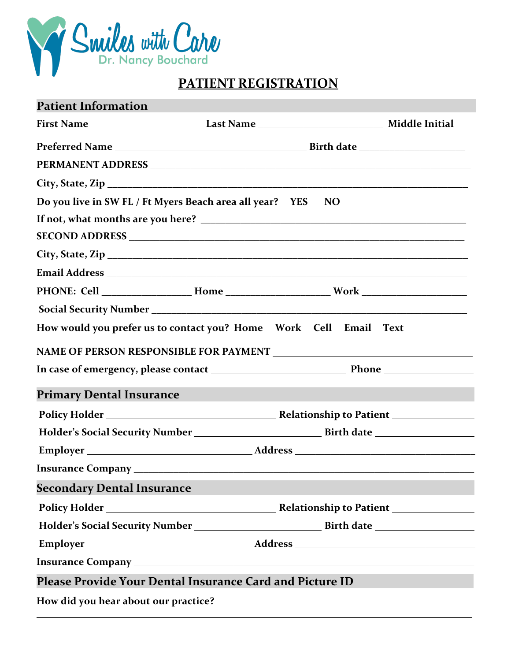

# **PATIENT REGISTRATION**

| <b>Patient Information</b>                                                          |           |  |
|-------------------------------------------------------------------------------------|-----------|--|
|                                                                                     |           |  |
|                                                                                     |           |  |
|                                                                                     |           |  |
|                                                                                     |           |  |
| Do you live in SW FL / Ft Myers Beach area all year? YES                            | <b>NO</b> |  |
|                                                                                     |           |  |
|                                                                                     |           |  |
|                                                                                     |           |  |
|                                                                                     |           |  |
|                                                                                     |           |  |
|                                                                                     |           |  |
|                                                                                     |           |  |
|                                                                                     |           |  |
|                                                                                     |           |  |
| <b>Primary Dental Insurance</b>                                                     |           |  |
|                                                                                     |           |  |
|                                                                                     |           |  |
|                                                                                     |           |  |
|                                                                                     |           |  |
| <b>Secondary Dental Insurance</b>                                                   |           |  |
| Policy Holder <b>No. 2018</b> Relationship to Patient <b>No. 2018</b> Policy Holder |           |  |
|                                                                                     |           |  |
|                                                                                     |           |  |
|                                                                                     |           |  |
| Please Provide Your Dental Insurance Card and Picture ID                            |           |  |
| How did you hear about our practice?                                                |           |  |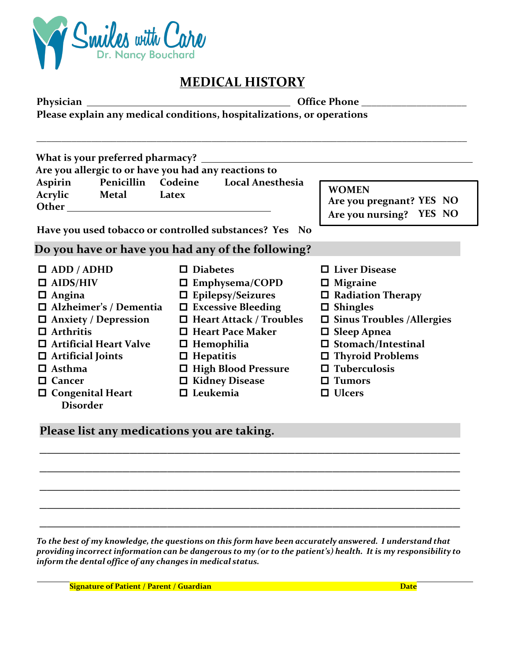

## **MEDICAL HISTORY**

| Physician                                                                                                |                                                        |                                                                     |  |  |  |
|----------------------------------------------------------------------------------------------------------|--------------------------------------------------------|---------------------------------------------------------------------|--|--|--|
| Please explain any medical conditions, hospitalizations, or operations                                   |                                                        |                                                                     |  |  |  |
| What is your preferred pharmacy? _______________<br>Are you allergic to or have you had any reactions to |                                                        |                                                                     |  |  |  |
| Penicillin Codeine Local Anesthesia<br>Aspirin<br>Acrylic Metal Latex                                    |                                                        | <b>WOMEN</b><br>Are you pregnant? YES NO<br>Are you nursing? YES NO |  |  |  |
|                                                                                                          | Have you used tobacco or controlled substances? Yes No |                                                                     |  |  |  |
|                                                                                                          | Do you have or have you had any of the following?      |                                                                     |  |  |  |
| $\Box$ ADD / ADHD                                                                                        | $\Box$ Diabetes                                        | □ Liver Disease                                                     |  |  |  |
| $\Box$ AIDS/HIV                                                                                          | $\Box$ Emphysema/COPD                                  | $\square$ Migraine                                                  |  |  |  |
| $\Box$ Angina                                                                                            | $\Box$ Epilepsy/Seizures                               | $\Box$ Radiation Therapy                                            |  |  |  |
| □ Alzheimer's / Dementia                                                                                 | $\Box$ Excessive Bleeding                              | $\square$ Shingles                                                  |  |  |  |
| $\Box$ Anxiety / Depression                                                                              | $\Box$ Heart Attack / Troubles                         | $\square$ Sinus Troubles /Allergies                                 |  |  |  |
| $\Box$ Arthritis                                                                                         | $\Box$ Heart Pace Maker                                | <b>Sleep Apnea</b><br>0                                             |  |  |  |
| <b>Artificial Heart Valve</b>                                                                            | $\Box$ Hemophilia                                      | $\Box$ Stomach/Intestinal                                           |  |  |  |
| $\Box$ Artificial Joints                                                                                 | $\Box$ Hepatitis                                       | $\Box$ Thyroid Problems                                             |  |  |  |
| Asthma<br>П.                                                                                             | □ High Blood Pressure                                  | $\Box$ Tuberculosis                                                 |  |  |  |
| Cancer<br>$\Box$                                                                                         | $\Box$ Kidney Disease                                  | <b>Tumors</b><br>ப                                                  |  |  |  |
| $\Box$ Congenital Heart<br><b>Disorder</b>                                                               | $\Box$ Leukemia                                        | <b>Ulcers</b><br>0                                                  |  |  |  |

Please list any medications you are taking.

*To the best of my knowledge, the questions on this form have been accurately answered. I understand that*  providing incorrect information can be dangerous to my (or to the patient's) health. It is my responsibility to *inform the dental office of any changes in medical status.*

**\_\_\_\_\_\_\_\_\_\_\_\_\_\_\_\_\_\_\_\_\_\_\_\_\_\_\_\_\_\_\_\_\_\_\_\_\_\_\_\_\_\_\_\_\_\_\_\_\_\_\_\_\_\_\_\_**

**\_\_\_\_\_\_\_\_\_\_\_\_\_\_\_\_\_\_\_\_\_\_\_\_\_\_\_\_\_\_\_\_\_\_\_\_\_\_\_\_\_\_\_\_\_\_\_\_\_\_\_\_\_\_\_\_**

**\_\_\_\_\_\_\_\_\_\_\_\_\_\_\_\_\_\_\_\_\_\_\_\_\_\_\_\_\_\_\_\_\_\_\_\_\_\_\_\_\_\_\_\_\_\_\_\_\_\_\_\_\_\_\_\_**

**\_\_\_\_\_\_\_\_\_\_\_\_\_\_\_\_\_\_\_\_\_\_\_\_\_\_\_\_\_\_\_\_\_\_\_\_\_\_\_\_\_\_\_\_\_\_\_\_\_\_\_\_\_\_\_\_**

**\_\_\_\_\_\_\_\_\_\_\_\_\_\_\_\_\_\_\_\_\_\_\_\_\_\_\_\_\_\_\_\_\_\_\_\_\_\_\_\_\_\_\_\_\_\_\_\_\_\_\_\_\_\_\_\_**

**Signature of Patient / Parent / Guardian Bigger 2012 Contract 2012 12:00 Pate Date**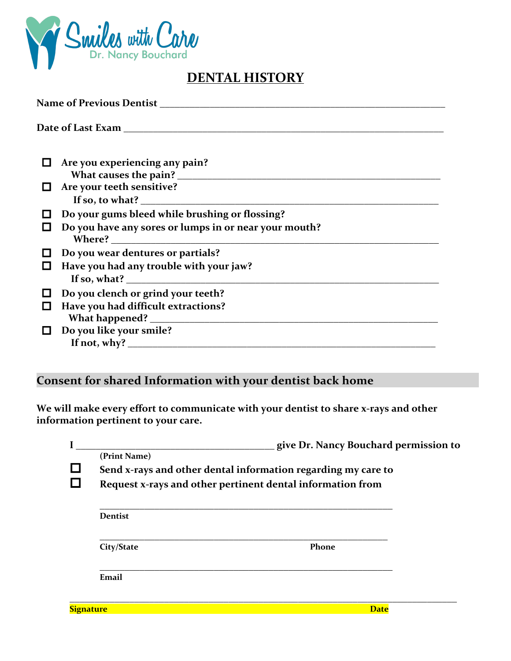

## **DENTAL HISTORY**

|                  | Are you experiencing any pain?                                                                               |  |  |
|------------------|--------------------------------------------------------------------------------------------------------------|--|--|
| $\Box$           | Are your teeth sensitive?<br>If so, to what? $\sqrt{ }$                                                      |  |  |
| $\Box$<br>囗      | Do your gums bleed while brushing or flossing?<br>Do you have any sores or lumps in or near your mouth?      |  |  |
| $\Box$<br>$\Box$ | Do you wear dentures or partials?<br>Have you had any trouble with your jaw?<br>If so, what? $\qquad \qquad$ |  |  |
| $\Box$<br>$\Box$ | Do you clench or grind your teeth?<br>Have you had difficult extractions?                                    |  |  |
|                  | Do you like your smile?                                                                                      |  |  |

## Consent for shared Information with your dentist back home

We will make every effort to communicate with your dentist to share x-rays and other information pertinent to your care.

|          |                                                               | give Dr. Nancy Bouchard permission to |  |  |  |
|----------|---------------------------------------------------------------|---------------------------------------|--|--|--|
|          | (Print Name)                                                  |                                       |  |  |  |
| $\sqcup$ | Send x-rays and other dental information regarding my care to |                                       |  |  |  |
| $\Box$   | Request x-rays and other pertinent dental information from    |                                       |  |  |  |
|          | <b>Dentist</b>                                                |                                       |  |  |  |
|          | City/State                                                    | Phone                                 |  |  |  |
|          | Email                                                         |                                       |  |  |  |
|          | <b>Signature</b>                                              | <b>Date</b>                           |  |  |  |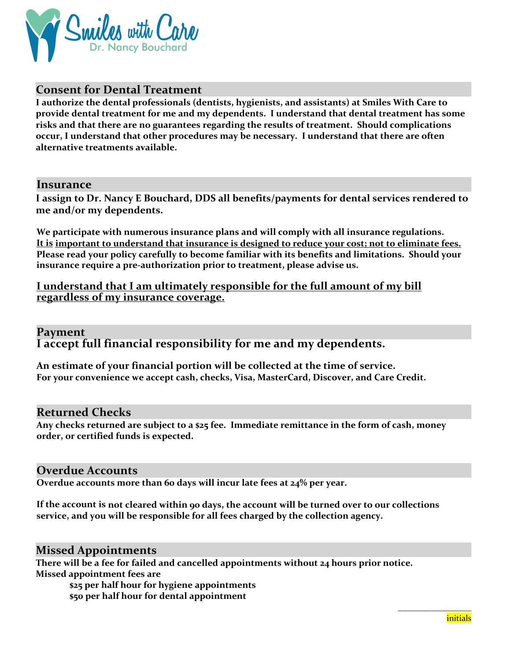

## **Consent for Dental Treatment**

**I authorize the dental professionals (dentists, hygienists, and assistants) at Smiles With Care to provide dental treatment for me and my dependents. I understand that dental treatment has some risks and that there are no guarantees regarding the results of treatment. Should complications occur, I understand that other procedures may be necessary. I understand that there are often alternative treatments available.**

#### **Insurance**

I assign to Dr. Nancy E Bouchard, DDS all benefits/payments for dental services rendered to me and/or my dependents.

**We participate with numerous insurance plans and will comply with all insurance regulations.**  It is important to understand that insurance is designed to reduce your cost; not to eliminate fees. **Please read your policy carefully to become familiar with its benefits and limitations. Should your insurance require a pre-authorization prior to treatment, please advise us.** 

#### **I** understand that I am ultimately responsible for the full amount of my bill **regardless of my insurance coverage.**

## **Payment I accept full financial responsibility for me and my dependents.**

An estimate of your financial portion will be collected at the time of service. **For your convenience we accept cash, checks, Visa, MasterCard, Discover, and Care Credit.**

#### **Returned Checks**

**Any checks returned are subject to a \$25 fee. Immediate remittance in the form of cash, money order, or certified funds is expected.**

#### **Overdue Accounts**

**Overdue** accounts more than 60 days will incur late fees at 24% per year.

If the account is not cleared within 90 days, the account will be turned over to our collections **service, and you will be responsible for all fees charged by the collection agency.**

#### **Missed Appointments**

There will be a fee for failed and cancelled appointments without 24 hours prior notice. **Missed appointment fees are** 

**\$25 per half hour for hygiene appointments \$50 per half hour for dental appointment**

**\_\_\_\_\_\_\_\_\_\_\_\_\_\_\_\_**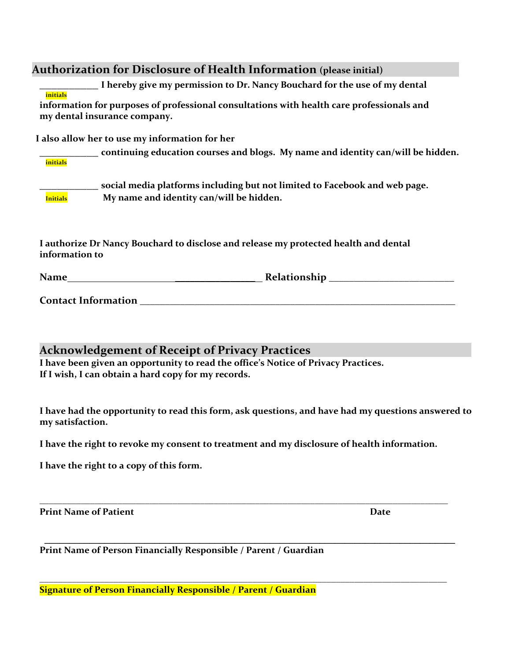### **Authorization for Disclosure of Health Information** (please initial)

**\_\_\_\_\_\_\_\_\_\_ I hereby give my permission to Dr. Nancy Bouchard for the use of my dental initials**

information for purposes of professional consultations with health care professionals and **my dental insurance company.**

I also allow her to use my information for her

| initials        | continuing education courses and blogs. My name and identity can/will be hidden.                                       |
|-----------------|------------------------------------------------------------------------------------------------------------------------|
| <b>Initials</b> | social media platforms including but not limited to Facebook and web page.<br>My name and identity can/will be hidden. |

I authorize Dr Nancy Bouchard to disclose and release my protected health and dental information to

| Name | Relationship |  |
|------|--------------|--|
|      |              |  |

**Contact Information** 

**Acknowledgement of Receipt of Privacy Practices** 

I have been given an opportunity to read the office's Notice of Privacy Practices. If I wish, I can obtain a hard copy for my records.

I have had the opportunity to read this form, ask questions, and have had my questions answered to **my satisfaction.**

**I have the right to revoke my consent to treatment and my disclosure of health information.**

**\_\_\_\_\_\_\_\_\_\_\_\_\_\_\_\_\_\_\_\_\_\_\_\_\_\_\_\_\_\_\_\_\_\_\_\_\_\_\_\_\_\_\_\_\_\_\_\_\_\_\_\_\_\_\_\_\_\_\_\_\_\_\_\_\_\_\_\_\_\_\_\_\_\_\_\_\_\_\_\_\_\_\_\_\_\_\_\_\_**

**\_\_\_\_\_\_\_\_\_\_\_\_\_\_\_\_\_\_\_\_\_\_\_\_\_\_\_\_\_\_\_\_\_\_\_\_\_\_\_\_\_\_\_\_\_\_\_\_\_\_\_\_\_\_\_\_\_\_\_\_\_\_\_\_\_\_\_\_\_\_\_\_\_\_\_\_\_\_\_\_\_\_**

**\_\_\_\_\_\_\_\_\_\_\_\_\_\_\_\_\_\_\_\_\_\_\_\_\_\_\_\_\_\_\_\_\_\_\_\_\_\_\_\_\_\_\_\_\_\_\_\_\_\_\_\_\_\_\_\_\_\_\_\_\_\_\_\_\_\_\_\_\_\_\_\_\_\_\_\_\_\_\_\_\_\_\_\_\_\_\_\_**

**I have the right to a copy of this form.**

**Print Name of Patient Date**

**Print Name of Person Financially Responsible / Parent / Guardian**

**Signature of Person Financially Responsible / Parent / Guardian**